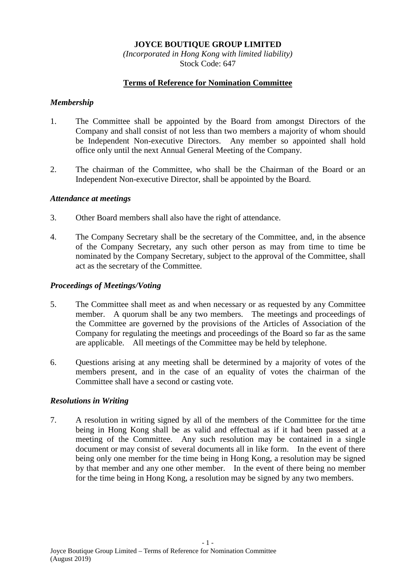# **JOYCE BOUTIQUE GROUP LIMITED**

*(Incorporated in Hong Kong with limited liability)* Stock Code: 647

### **Terms of Reference for Nomination Committee**

#### *Membership*

- 1. The Committee shall be appointed by the Board from amongst Directors of the Company and shall consist of not less than two members a majority of whom should be Independent Non-executive Directors. Any member so appointed shall hold office only until the next Annual General Meeting of the Company.
- 2. The chairman of the Committee, who shall be the Chairman of the Board or an Independent Non-executive Director, shall be appointed by the Board.

#### *Attendance at meetings*

- 3. Other Board members shall also have the right of attendance.
- 4. The Company Secretary shall be the secretary of the Committee, and, in the absence of the Company Secretary, any such other person as may from time to time be nominated by the Company Secretary, subject to the approval of the Committee, shall act as the secretary of the Committee.

### *Proceedings of Meetings/Voting*

- 5. The Committee shall meet as and when necessary or as requested by any Committee member. A quorum shall be any two members. The meetings and proceedings of the Committee are governed by the provisions of the Articles of Association of the Company for regulating the meetings and proceedings of the Board so far as the same are applicable. All meetings of the Committee may be held by telephone.
- 6. Questions arising at any meeting shall be determined by a majority of votes of the members present, and in the case of an equality of votes the chairman of the Committee shall have a second or casting vote.

## *Resolutions in Writing*

7. A resolution in writing signed by all of the members of the Committee for the time being in Hong Kong shall be as valid and effectual as if it had been passed at a meeting of the Committee. Any such resolution may be contained in a single document or may consist of several documents all in like form. In the event of there being only one member for the time being in Hong Kong, a resolution may be signed by that member and any one other member. In the event of there being no member for the time being in Hong Kong, a resolution may be signed by any two members.